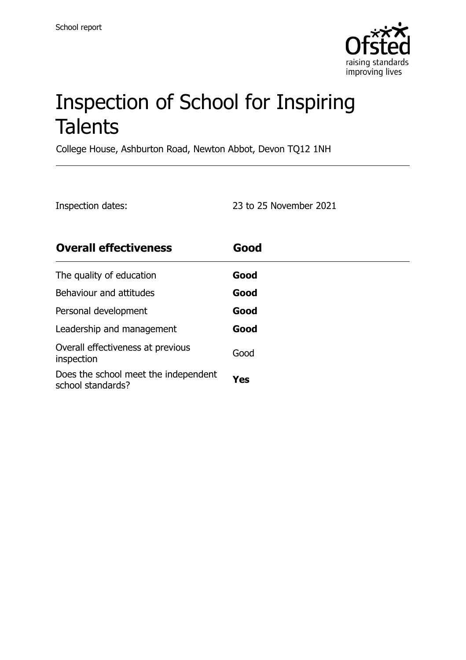

# Inspection of School for Inspiring **Talents**

College House, Ashburton Road, Newton Abbot, Devon TQ12 1NH

Inspection dates: 23 to 25 November 2021

| <b>Overall effectiveness</b>                              | Good |
|-----------------------------------------------------------|------|
| The quality of education                                  | Good |
| Behaviour and attitudes                                   | Good |
| Personal development                                      | Good |
| Leadership and management                                 | Good |
| Overall effectiveness at previous<br>inspection           | Good |
| Does the school meet the independent<br>school standards? | Yes  |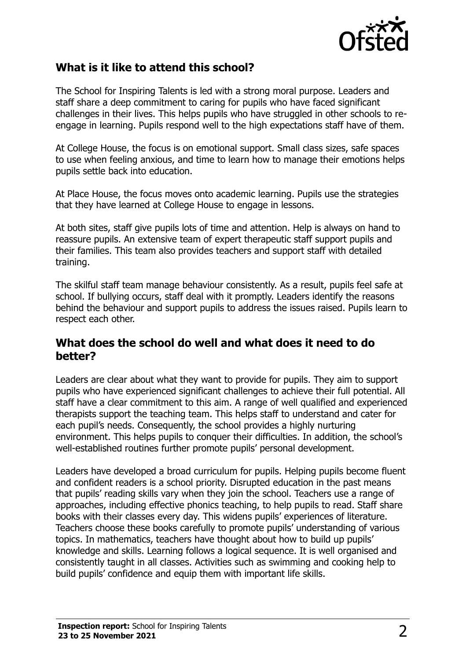

### **What is it like to attend this school?**

The School for Inspiring Talents is led with a strong moral purpose. Leaders and staff share a deep commitment to caring for pupils who have faced significant challenges in their lives. This helps pupils who have struggled in other schools to reengage in learning. Pupils respond well to the high expectations staff have of them.

At College House, the focus is on emotional support. Small class sizes, safe spaces to use when feeling anxious, and time to learn how to manage their emotions helps pupils settle back into education.

At Place House, the focus moves onto academic learning. Pupils use the strategies that they have learned at College House to engage in lessons.

At both sites, staff give pupils lots of time and attention. Help is always on hand to reassure pupils. An extensive team of expert therapeutic staff support pupils and their families. This team also provides teachers and support staff with detailed training.

The skilful staff team manage behaviour consistently. As a result, pupils feel safe at school. If bullying occurs, staff deal with it promptly. Leaders identify the reasons behind the behaviour and support pupils to address the issues raised. Pupils learn to respect each other.

#### **What does the school do well and what does it need to do better?**

Leaders are clear about what they want to provide for pupils. They aim to support pupils who have experienced significant challenges to achieve their full potential. All staff have a clear commitment to this aim. A range of well qualified and experienced therapists support the teaching team. This helps staff to understand and cater for each pupil's needs. Consequently, the school provides a highly nurturing environment. This helps pupils to conquer their difficulties. In addition, the school's well-established routines further promote pupils' personal development.

Leaders have developed a broad curriculum for pupils. Helping pupils become fluent and confident readers is a school priority. Disrupted education in the past means that pupils' reading skills vary when they join the school. Teachers use a range of approaches, including effective phonics teaching, to help pupils to read. Staff share books with their classes every day. This widens pupils' experiences of literature. Teachers choose these books carefully to promote pupils' understanding of various topics. In mathematics, teachers have thought about how to build up pupils' knowledge and skills. Learning follows a logical sequence. It is well organised and consistently taught in all classes. Activities such as swimming and cooking help to build pupils' confidence and equip them with important life skills.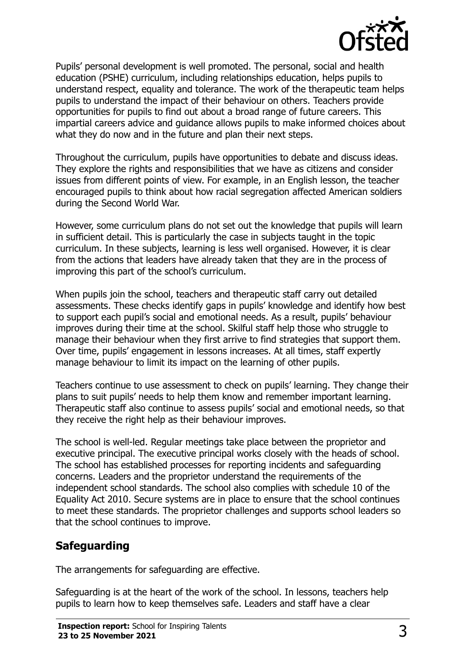

Pupils' personal development is well promoted. The personal, social and health education (PSHE) curriculum, including relationships education, helps pupils to understand respect, equality and tolerance. The work of the therapeutic team helps pupils to understand the impact of their behaviour on others. Teachers provide opportunities for pupils to find out about a broad range of future careers. This impartial careers advice and guidance allows pupils to make informed choices about what they do now and in the future and plan their next steps.

Throughout the curriculum, pupils have opportunities to debate and discuss ideas. They explore the rights and responsibilities that we have as citizens and consider issues from different points of view. For example, in an English lesson, the teacher encouraged pupils to think about how racial segregation affected American soldiers during the Second World War.

However, some curriculum plans do not set out the knowledge that pupils will learn in sufficient detail. This is particularly the case in subjects taught in the topic curriculum. In these subjects, learning is less well organised. However, it is clear from the actions that leaders have already taken that they are in the process of improving this part of the school's curriculum.

When pupils join the school, teachers and therapeutic staff carry out detailed assessments. These checks identify gaps in pupils' knowledge and identify how best to support each pupil's social and emotional needs. As a result, pupils' behaviour improves during their time at the school. Skilful staff help those who struggle to manage their behaviour when they first arrive to find strategies that support them. Over time, pupils' engagement in lessons increases. At all times, staff expertly manage behaviour to limit its impact on the learning of other pupils.

Teachers continue to use assessment to check on pupils' learning. They change their plans to suit pupils' needs to help them know and remember important learning. Therapeutic staff also continue to assess pupils' social and emotional needs, so that they receive the right help as their behaviour improves.

The school is well-led. Regular meetings take place between the proprietor and executive principal. The executive principal works closely with the heads of school. The school has established processes for reporting incidents and safeguarding concerns. Leaders and the proprietor understand the requirements of the independent school standards. The school also complies with schedule 10 of the Equality Act 2010. Secure systems are in place to ensure that the school continues to meet these standards. The proprietor challenges and supports school leaders so that the school continues to improve.

## **Safeguarding**

The arrangements for safeguarding are effective.

Safeguarding is at the heart of the work of the school. In lessons, teachers help pupils to learn how to keep themselves safe. Leaders and staff have a clear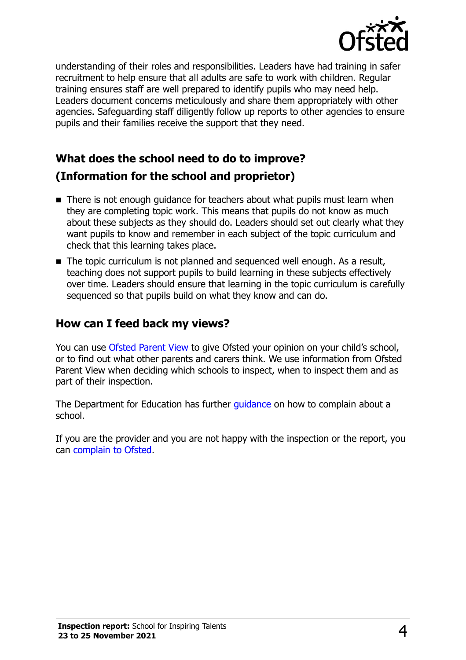

understanding of their roles and responsibilities. Leaders have had training in safer recruitment to help ensure that all adults are safe to work with children. Regular training ensures staff are well prepared to identify pupils who may need help. Leaders document concerns meticulously and share them appropriately with other agencies. Safeguarding staff diligently follow up reports to other agencies to ensure pupils and their families receive the support that they need.

## **What does the school need to do to improve? (Information for the school and proprietor)**

- There is not enough guidance for teachers about what pupils must learn when they are completing topic work. This means that pupils do not know as much about these subjects as they should do. Leaders should set out clearly what they want pupils to know and remember in each subject of the topic curriculum and check that this learning takes place.
- The topic curriculum is not planned and sequenced well enough. As a result, teaching does not support pupils to build learning in these subjects effectively over time. Leaders should ensure that learning in the topic curriculum is carefully sequenced so that pupils build on what they know and can do.

#### **How can I feed back my views?**

You can use [Ofsted Parent View](http://parentview.ofsted.gov.uk/) to give Ofsted your opinion on your child's school, or to find out what other parents and carers think. We use information from Ofsted Parent View when deciding which schools to inspect, when to inspect them and as part of their inspection.

The Department for Education has further quidance on how to complain about a school.

If you are the provider and you are not happy with the inspection or the report, you can [complain to Ofsted.](http://www.gov.uk/complain-ofsted-report)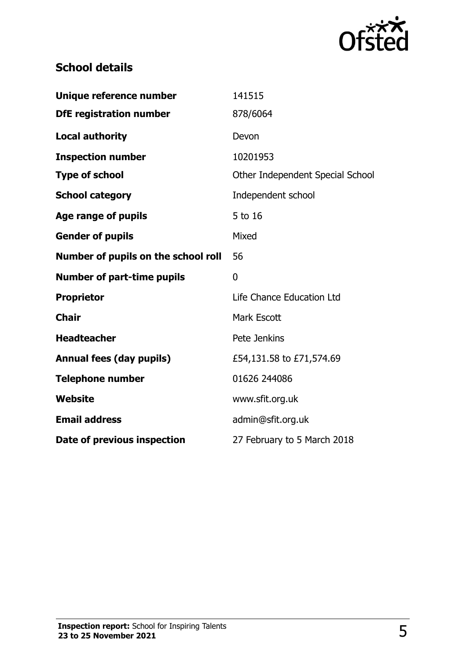

## **School details**

| Unique reference number             | 141515                           |
|-------------------------------------|----------------------------------|
| <b>DfE registration number</b>      | 878/6064                         |
| <b>Local authority</b>              | Devon                            |
| <b>Inspection number</b>            | 10201953                         |
| <b>Type of school</b>               | Other Independent Special School |
| <b>School category</b>              | Independent school               |
| Age range of pupils                 | 5 to 16                          |
| <b>Gender of pupils</b>             | Mixed                            |
| Number of pupils on the school roll | 56                               |
| <b>Number of part-time pupils</b>   | 0                                |
| <b>Proprietor</b>                   | Life Chance Education Ltd        |
| <b>Chair</b>                        | Mark Escott                      |
| <b>Headteacher</b>                  | Pete Jenkins                     |
| <b>Annual fees (day pupils)</b>     | £54,131.58 to £71,574.69         |
| <b>Telephone number</b>             | 01626 244086                     |
| Website                             | www.sfit.org.uk                  |
| <b>Email address</b>                | admin@sfit.org.uk                |
| Date of previous inspection         | 27 February to 5 March 2018      |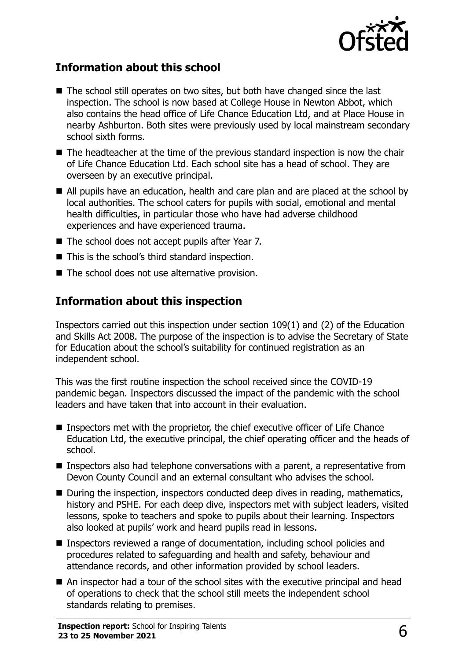

### **Information about this school**

- The school still operates on two sites, but both have changed since the last inspection. The school is now based at College House in Newton Abbot, which also contains the head office of Life Chance Education Ltd, and at Place House in nearby Ashburton. Both sites were previously used by local mainstream secondary school sixth forms.
- The headteacher at the time of the previous standard inspection is now the chair of Life Chance Education Ltd. Each school site has a head of school. They are overseen by an executive principal.
- All pupils have an education, health and care plan and are placed at the school by local authorities. The school caters for pupils with social, emotional and mental health difficulties, in particular those who have had adverse childhood experiences and have experienced trauma.
- The school does not accept pupils after Year 7.
- This is the school's third standard inspection.
- The school does not use alternative provision.

### **Information about this inspection**

Inspectors carried out this inspection under section 109(1) and (2) of the Education and Skills Act 2008. The purpose of the inspection is to advise the Secretary of State for Education about the school's suitability for continued registration as an independent school.

This was the first routine inspection the school received since the COVID-19 pandemic began. Inspectors discussed the impact of the pandemic with the school leaders and have taken that into account in their evaluation.

- Inspectors met with the proprietor, the chief executive officer of Life Chance Education Ltd, the executive principal, the chief operating officer and the heads of school.
- Inspectors also had telephone conversations with a parent, a representative from Devon County Council and an external consultant who advises the school.
- During the inspection, inspectors conducted deep dives in reading, mathematics, history and PSHE. For each deep dive, inspectors met with subject leaders, visited lessons, spoke to teachers and spoke to pupils about their learning. Inspectors also looked at pupils' work and heard pupils read in lessons.
- Inspectors reviewed a range of documentation, including school policies and procedures related to safeguarding and health and safety, behaviour and attendance records, and other information provided by school leaders.
- An inspector had a tour of the school sites with the executive principal and head of operations to check that the school still meets the independent school standards relating to premises.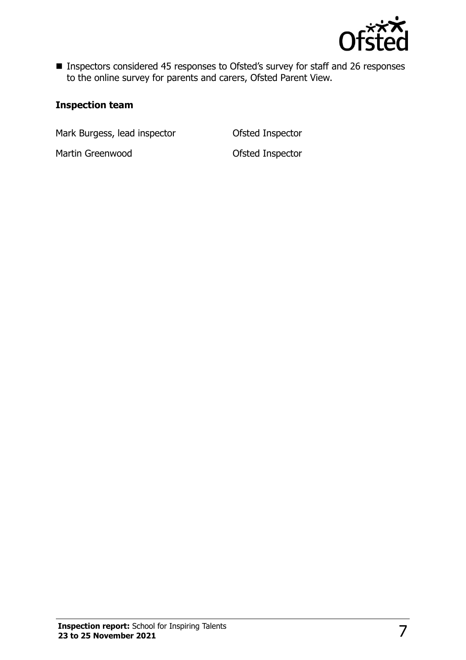

■ Inspectors considered 45 responses to Ofsted's survey for staff and 26 responses to the online survey for parents and carers, Ofsted Parent View.

#### **Inspection team**

Mark Burgess, lead inspector **Ofsted Inspector** 

Martin Greenwood and Designation Control Ofsted Inspector